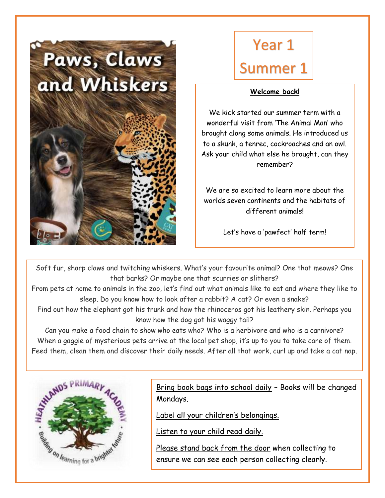

# Year 1 Summer 1

#### **Welcome back!**

We kick started our summer term with a wonderful visit from 'The Animal Man' who brought along some animals. He introduced us to a skunk, a tenrec, cockroaches and an owl. Ask your child what else he brought, can they remember?

We are so excited to learn more about the worlds seven continents and the habitats of different animals!

Let's have a 'pawfect' half term!

Soft fur, sharp claws and twitching whiskers. What's your favourite animal? One that meows? One that barks? Or maybe one that scurries or slithers?

From pets at home to animals in the zoo, let's find out what animals like to eat and where they like to sleep. Do you know how to look after a rabbit? A cat? Or even a snake?

Find out how the elephant got his trunk and how the rhinoceros got his leathery skin. Perhaps you know how the dog got his waggy tail?

Can you make a food chain to show who eats who? Who is a herbivore and who is a carnivore? When a gaggle of mysterious pets arrive at the local pet shop, it's up to you to take care of them. Feed them, clean them and discover their daily needs. After all that work, curl up and take a cat nap.



Bring book bags into school daily – Books will be changed Mondays.

Label all your children's belongings.

Listen to your child read daily.

PE – Every Monday

Please stand back from the door when collecting to ensure we can see each person collecting clearly.